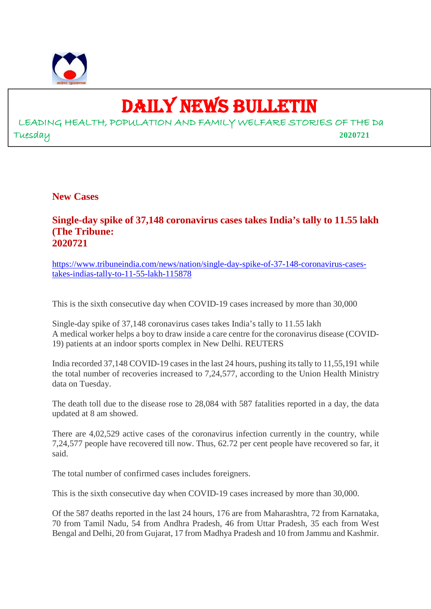

# DAILY NEWS BULLETIN

LEADING HEALTH, POPULATION AND FAMILY WELFARE STORIES OF THE Da Tuesday **2020721**

**New Cases**

## **Single-day spike of 37,148 coronavirus cases takes India's tally to 11.55 lakh (The Tribune: 2020721**

https://www.tribuneindia.com/news/nation/single-day-spike-of-37-148-coronavirus-casestakes-indias-tally-to-11-55-lakh-115878

This is the sixth consecutive day when COVID-19 cases increased by more than 30,000

Single-day spike of 37,148 coronavirus cases takes India's tally to 11.55 lakh A medical worker helps a boy to draw inside a care centre for the coronavirus disease (COVID-19) patients at an indoor sports complex in New Delhi. REUTERS

India recorded 37,148 COVID-19 cases in the last 24 hours, pushing its tally to 11,55,191 while the total number of recoveries increased to 7,24,577, according to the Union Health Ministry data on Tuesday.

The death toll due to the disease rose to 28,084 with 587 fatalities reported in a day, the data updated at 8 am showed.

There are 4,02,529 active cases of the coronavirus infection currently in the country, while 7,24,577 people have recovered till now. Thus, 62.72 per cent people have recovered so far, it said.

The total number of confirmed cases includes foreigners.

This is the sixth consecutive day when COVID-19 cases increased by more than 30,000.

Of the 587 deaths reported in the last 24 hours, 176 are from Maharashtra, 72 from Karnataka, 70 from Tamil Nadu, 54 from Andhra Pradesh, 46 from Uttar Pradesh, 35 each from West Bengal and Delhi, 20 from Gujarat, 17 from Madhya Pradesh and 10 from Jammu and Kashmir.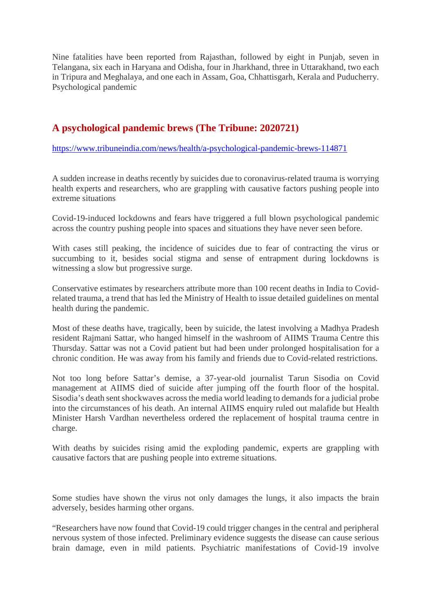Nine fatalities have been reported from Rajasthan, followed by eight in Punjab, seven in Telangana, six each in Haryana and Odisha, four in Jharkhand, three in Uttarakhand, two each in Tripura and Meghalaya, and one each in Assam, Goa, Chhattisgarh, Kerala and Puducherry. Psychological pandemic

# **A psychological pandemic brews (The Tribune: 2020721)**

https://www.tribuneindia.com/news/health/a-psychological-pandemic-brews-114871

A sudden increase in deaths recently by suicides due to coronavirus-related trauma is worrying health experts and researchers, who are grappling with causative factors pushing people into extreme situations

Covid-19-induced lockdowns and fears have triggered a full blown psychological pandemic across the country pushing people into spaces and situations they have never seen before.

With cases still peaking, the incidence of suicides due to fear of contracting the virus or succumbing to it, besides social stigma and sense of entrapment during lockdowns is witnessing a slow but progressive surge.

Conservative estimates by researchers attribute more than 100 recent deaths in India to Covidrelated trauma, a trend that has led the Ministry of Health to issue detailed guidelines on mental health during the pandemic.

Most of these deaths have, tragically, been by suicide, the latest involving a Madhya Pradesh resident Rajmani Sattar, who hanged himself in the washroom of AIIMS Trauma Centre this Thursday. Sattar was not a Covid patient but had been under prolonged hospitalisation for a chronic condition. He was away from his family and friends due to Covid-related restrictions.

Not too long before Sattar's demise, a 37-year-old journalist Tarun Sisodia on Covid management at AIIMS died of suicide after jumping off the fourth floor of the hospital. Sisodia's death sent shockwaves across the media world leading to demands for a judicial probe into the circumstances of his death. An internal AIIMS enquiry ruled out malafide but Health Minister Harsh Vardhan nevertheless ordered the replacement of hospital trauma centre in charge.

With deaths by suicides rising amid the exploding pandemic, experts are grappling with causative factors that are pushing people into extreme situations.

Some studies have shown the virus not only damages the lungs, it also impacts the brain adversely, besides harming other organs.

"Researchers have now found that Covid-19 could trigger changes in the central and peripheral nervous system of those infected. Preliminary evidence suggests the disease can cause serious brain damage, even in mild patients. Psychiatric manifestations of Covid-19 involve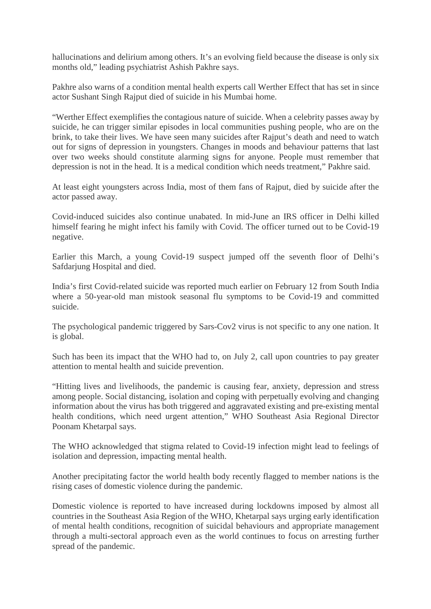hallucinations and delirium among others. It's an evolving field because the disease is only six months old," leading psychiatrist Ashish Pakhre says.

Pakhre also warns of a condition mental health experts call Werther Effect that has set in since actor Sushant Singh Rajput died of suicide in his Mumbai home.

"Werther Effect exemplifies the contagious nature of suicide. When a celebrity passes away by suicide, he can trigger similar episodes in local communities pushing people, who are on the brink, to take their lives. We have seen many suicides after Rajput's death and need to watch out for signs of depression in youngsters. Changes in moods and behaviour patterns that last over two weeks should constitute alarming signs for anyone. People must remember that depression is not in the head. It is a medical condition which needs treatment," Pakhre said.

At least eight youngsters across India, most of them fans of Rajput, died by suicide after the actor passed away.

Covid-induced suicides also continue unabated. In mid-June an IRS officer in Delhi killed himself fearing he might infect his family with Covid. The officer turned out to be Covid-19 negative.

Earlier this March, a young Covid-19 suspect jumped off the seventh floor of Delhi's Safdarjung Hospital and died.

India's first Covid-related suicide was reported much earlier on February 12 from South India where a 50-year-old man mistook seasonal flu symptoms to be Covid-19 and committed suicide.

The psychological pandemic triggered by Sars-Cov2 virus is not specific to any one nation. It is global.

Such has been its impact that the WHO had to, on July 2, call upon countries to pay greater attention to mental health and suicide prevention.

"Hitting lives and livelihoods, the pandemic is causing fear, anxiety, depression and stress among people. Social distancing, isolation and coping with perpetually evolving and changing information about the virus has both triggered and aggravated existing and pre-existing mental health conditions, which need urgent attention," WHO Southeast Asia Regional Director Poonam Khetarpal says.

The WHO acknowledged that stigma related to Covid-19 infection might lead to feelings of isolation and depression, impacting mental health.

Another precipitating factor the world health body recently flagged to member nations is the rising cases of domestic violence during the pandemic.

Domestic violence is reported to have increased during lockdowns imposed by almost all countries in the Southeast Asia Region of the WHO, Khetarpal says urging early identification of mental health conditions, recognition of suicidal behaviours and appropriate management through a multi-sectoral approach even as the world continues to focus on arresting further spread of the pandemic.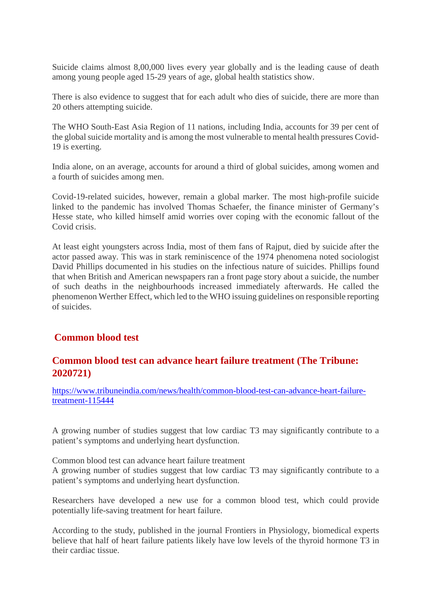Suicide claims almost 8,00,000 lives every year globally and is the leading cause of death among young people aged 15-29 years of age, global health statistics show.

There is also evidence to suggest that for each adult who dies of suicide, there are more than 20 others attempting suicide.

The WHO South-East Asia Region of 11 nations, including India, accounts for 39 per cent of the global suicide mortality and is among the most vulnerable to mental health pressures Covid-19 is exerting.

India alone, on an average, accounts for around a third of global suicides, among women and a fourth of suicides among men.

Covid-19-related suicides, however, remain a global marker. The most high-profile suicide linked to the pandemic has involved Thomas Schaefer, the finance minister of Germany's Hesse state, who killed himself amid worries over coping with the economic fallout of the Covid crisis.

At least eight youngsters across India, most of them fans of Rajput, died by suicide after the actor passed away. This was in stark reminiscence of the 1974 phenomena noted sociologist David Phillips documented in his studies on the infectious nature of suicides. Phillips found that when British and American newspapers ran a front page story about a suicide, the number of such deaths in the neighbourhoods increased immediately afterwards. He called the phenomenon Werther Effect, which led to the WHO issuing guidelines on responsible reporting of suicides.

# **Common blood test**

# **Common blood test can advance heart failure treatment (The Tribune: 2020721)**

https://www.tribuneindia.com/news/health/common-blood-test-can-advance-heart-failuretreatment-115444

A growing number of studies suggest that low cardiac T3 may significantly contribute to a patient's symptoms and underlying heart dysfunction.

Common blood test can advance heart failure treatment

A growing number of studies suggest that low cardiac T3 may significantly contribute to a patient's symptoms and underlying heart dysfunction.

Researchers have developed a new use for a common blood test, which could provide potentially life-saving treatment for heart failure.

According to the study, published in the journal Frontiers in Physiology, biomedical experts believe that half of heart failure patients likely have low levels of the thyroid hormone T3 in their cardiac tissue.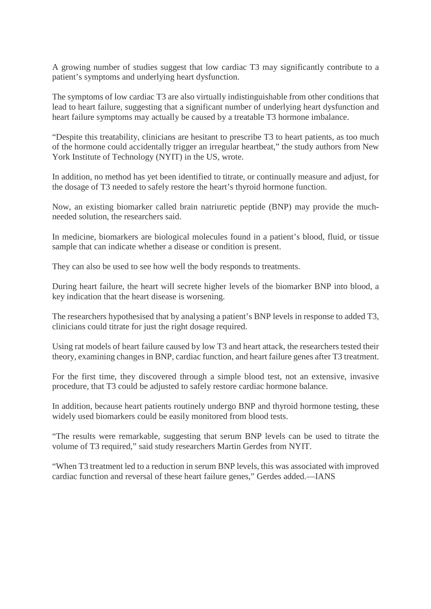A growing number of studies suggest that low cardiac T3 may significantly contribute to a patient's symptoms and underlying heart dysfunction.

The symptoms of low cardiac T3 are also virtually indistinguishable from other conditions that lead to heart failure, suggesting that a significant number of underlying heart dysfunction and heart failure symptoms may actually be caused by a treatable T3 hormone imbalance.

"Despite this treatability, clinicians are hesitant to prescribe T3 to heart patients, as too much of the hormone could accidentally trigger an irregular heartbeat," the study authors from New York Institute of Technology (NYIT) in the US, wrote.

In addition, no method has yet been identified to titrate, or continually measure and adjust, for the dosage of T3 needed to safely restore the heart's thyroid hormone function.

Now, an existing biomarker called brain natriuretic peptide (BNP) may provide the muchneeded solution, the researchers said.

In medicine, biomarkers are biological molecules found in a patient's blood, fluid, or tissue sample that can indicate whether a disease or condition is present.

They can also be used to see how well the body responds to treatments.

During heart failure, the heart will secrete higher levels of the biomarker BNP into blood, a key indication that the heart disease is worsening.

The researchers hypothesised that by analysing a patient's BNP levels in response to added T3, clinicians could titrate for just the right dosage required.

Using rat models of heart failure caused by low T3 and heart attack, the researchers tested their theory, examining changes in BNP, cardiac function, and heart failure genes after T3 treatment.

For the first time, they discovered through a simple blood test, not an extensive, invasive procedure, that T3 could be adjusted to safely restore cardiac hormone balance.

In addition, because heart patients routinely undergo BNP and thyroid hormone testing, these widely used biomarkers could be easily monitored from blood tests.

"The results were remarkable, suggesting that serum BNP levels can be used to titrate the volume of T3 required," said study researchers Martin Gerdes from NYIT.

"When T3 treatment led to a reduction in serum BNP levels, this was associated with improved cardiac function and reversal of these heart failure genes," Gerdes added.—IANS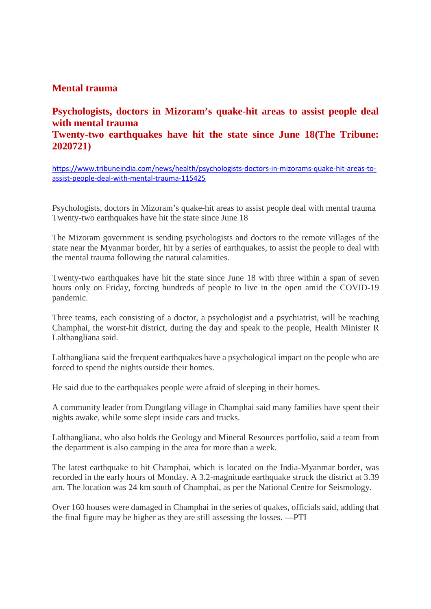# **Mental trauma**

# **Psychologists, doctors in Mizoram's quake-hit areas to assist people deal with mental trauma Twenty-two earthquakes have hit the state since June 18(The Tribune: 2020721)**

https://www.tribuneindia.com/news/health/psychologists-doctors-in-mizorams-quake-hit-areas-toassist-people-deal-with-mental-trauma-115425

Psychologists, doctors in Mizoram's quake-hit areas to assist people deal with mental trauma Twenty-two earthquakes have hit the state since June 18

The Mizoram government is sending psychologists and doctors to the remote villages of the state near the Myanmar border, hit by a series of earthquakes, to assist the people to deal with the mental trauma following the natural calamities.

Twenty-two earthquakes have hit the state since June 18 with three within a span of seven hours only on Friday, forcing hundreds of people to live in the open amid the COVID-19 pandemic.

Three teams, each consisting of a doctor, a psychologist and a psychiatrist, will be reaching Champhai, the worst-hit district, during the day and speak to the people, Health Minister R Lalthangliana said.

Lalthangliana said the frequent earthquakes have a psychological impact on the people who are forced to spend the nights outside their homes.

He said due to the earthquakes people were afraid of sleeping in their homes.

A community leader from Dungtlang village in Champhai said many families have spent their nights awake, while some slept inside cars and trucks.

Lalthangliana, who also holds the Geology and Mineral Resources portfolio, said a team from the department is also camping in the area for more than a week.

The latest earthquake to hit Champhai, which is located on the India-Myanmar border, was recorded in the early hours of Monday. A 3.2-magnitude earthquake struck the district at 3.39 am. The location was 24 km south of Champhai, as per the National Centre for Seismology.

Over 160 houses were damaged in Champhai in the series of quakes, officials said, adding that the final figure may be higher as they are still assessing the losses. —PTI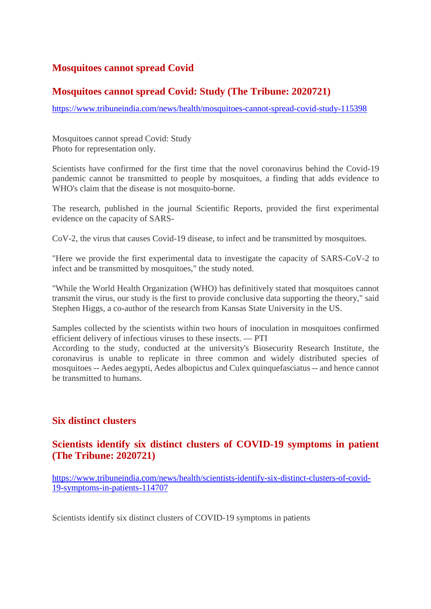# **Mosquitoes cannot spread Covid**

# **Mosquitoes cannot spread Covid: Study (The Tribune: 2020721)**

https://www.tribuneindia.com/news/health/mosquitoes-cannot-spread-covid-study-115398

Mosquitoes cannot spread Covid: Study Photo for representation only.

Scientists have confirmed for the first time that the novel coronavirus behind the Covid-19 pandemic cannot be transmitted to people by mosquitoes, a finding that adds evidence to WHO's claim that the disease is not mosquito-borne.

The research, published in the journal Scientific Reports, provided the first experimental evidence on the capacity of SARS-

CoV-2, the virus that causes Covid-19 disease, to infect and be transmitted by mosquitoes.

"Here we provide the first experimental data to investigate the capacity of SARS-CoV-2 to infect and be transmitted by mosquitoes," the study noted.

"While the World Health Organization (WHO) has definitively stated that mosquitoes cannot transmit the virus, our study is the first to provide conclusive data supporting the theory," said Stephen Higgs, a co-author of the research from Kansas State University in the US.

Samples collected by the scientists within two hours of inoculation in mosquitoes confirmed efficient delivery of infectious viruses to these insects. — PTI

According to the study, conducted at the university's Biosecurity Research Institute, the coronavirus is unable to replicate in three common and widely distributed species of mosquitoes -- Aedes aegypti, Aedes albopictus and Culex quinquefasciatus -- and hence cannot be transmitted to humans.

## **Six distinct clusters**

# **Scientists identify six distinct clusters of COVID-19 symptoms in patient (The Tribune: 2020721)**

https://www.tribuneindia.com/news/health/scientists-identify-six-distinct-clusters-of-covid-19-symptoms-in-patients-114707

Scientists identify six distinct clusters of COVID-19 symptoms in patients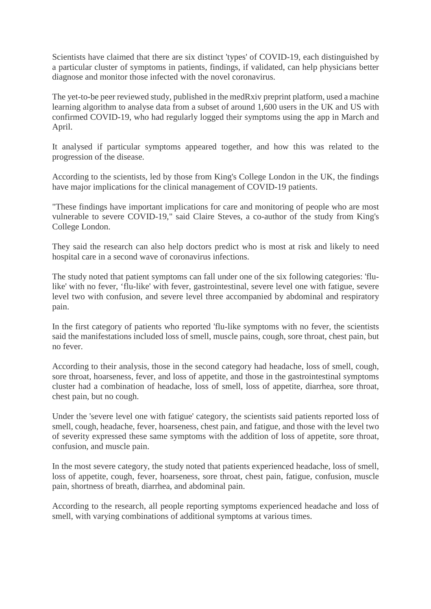Scientists have claimed that there are six distinct 'types' of COVID-19, each distinguished by a particular cluster of symptoms in patients, findings, if validated, can help physicians better diagnose and monitor those infected with the novel coronavirus.

The yet-to-be peer reviewed study, published in the medRxiv preprint platform, used a machine learning algorithm to analyse data from a subset of around 1,600 users in the UK and US with confirmed COVID-19, who had regularly logged their symptoms using the app in March and April.

It analysed if particular symptoms appeared together, and how this was related to the progression of the disease.

According to the scientists, led by those from King's College London in the UK, the findings have major implications for the clinical management of COVID-19 patients.

"These findings have important implications for care and monitoring of people who are most vulnerable to severe COVID-19," said Claire Steves, a co-author of the study from King's College London.

They said the research can also help doctors predict who is most at risk and likely to need hospital care in a second wave of coronavirus infections.

The study noted that patient symptoms can fall under one of the six following categories: 'flulike' with no fever, 'flu-like' with fever, gastrointestinal, severe level one with fatigue, severe level two with confusion, and severe level three accompanied by abdominal and respiratory pain.

In the first category of patients who reported 'flu-like symptoms with no fever, the scientists said the manifestations included loss of smell, muscle pains, cough, sore throat, chest pain, but no fever.

According to their analysis, those in the second category had headache, loss of smell, cough, sore throat, hoarseness, fever, and loss of appetite, and those in the gastrointestinal symptoms cluster had a combination of headache, loss of smell, loss of appetite, diarrhea, sore throat, chest pain, but no cough.

Under the 'severe level one with fatigue' category, the scientists said patients reported loss of smell, cough, headache, fever, hoarseness, chest pain, and fatigue, and those with the level two of severity expressed these same symptoms with the addition of loss of appetite, sore throat, confusion, and muscle pain.

In the most severe category, the study noted that patients experienced headache, loss of smell, loss of appetite, cough, fever, hoarseness, sore throat, chest pain, fatigue, confusion, muscle pain, shortness of breath, diarrhea, and abdominal pain.

According to the research, all people reporting symptoms experienced headache and loss of smell, with varying combinations of additional symptoms at various times.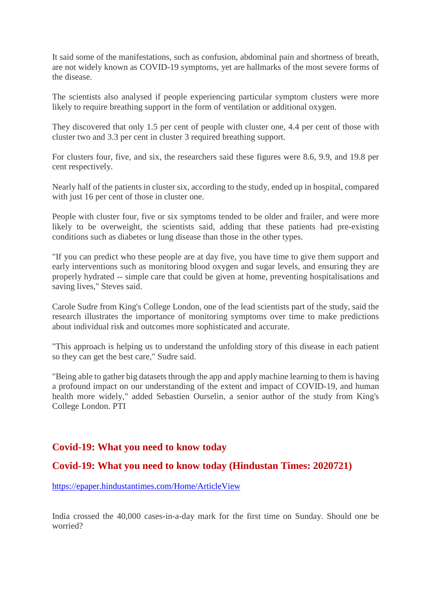It said some of the manifestations, such as confusion, abdominal pain and shortness of breath, are not widely known as COVID-19 symptoms, yet are hallmarks of the most severe forms of the disease.

The scientists also analysed if people experiencing particular symptom clusters were more likely to require breathing support in the form of ventilation or additional oxygen.

They discovered that only 1.5 per cent of people with cluster one, 4.4 per cent of those with cluster two and 3.3 per cent in cluster 3 required breathing support.

For clusters four, five, and six, the researchers said these figures were 8.6, 9.9, and 19.8 per cent respectively.

Nearly half of the patients in cluster six, according to the study, ended up in hospital, compared with just 16 per cent of those in cluster one.

People with cluster four, five or six symptoms tended to be older and frailer, and were more likely to be overweight, the scientists said, adding that these patients had pre-existing conditions such as diabetes or lung disease than those in the other types.

"If you can predict who these people are at day five, you have time to give them support and early interventions such as monitoring blood oxygen and sugar levels, and ensuring they are properly hydrated -- simple care that could be given at home, preventing hospitalisations and saving lives," Steves said.

Carole Sudre from King's College London, one of the lead scientists part of the study, said the research illustrates the importance of monitoring symptoms over time to make predictions about individual risk and outcomes more sophisticated and accurate.

"This approach is helping us to understand the unfolding story of this disease in each patient so they can get the best care," Sudre said.

"Being able to gather big datasets through the app and apply machine learning to them is having a profound impact on our understanding of the extent and impact of COVID-19, and human health more widely," added Sebastien Ourselin, a senior author of the study from King's College London. PTI

## **Covid-19: What you need to know today**

## **Covid-19: What you need to know today (Hindustan Times: 2020721)**

https://epaper.hindustantimes.com/Home/ArticleView

India crossed the 40,000 cases-in-a-day mark for the first time on Sunday. Should one be worried?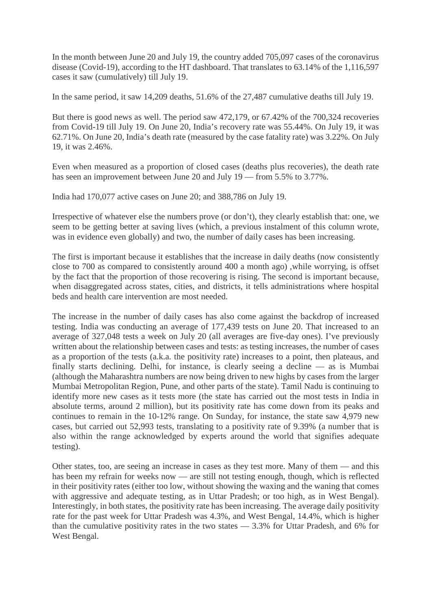In the month between June 20 and July 19, the country added 705,097 cases of the coronavirus disease (Covid-19), according to the HT dashboard. That translates to 63.14% of the 1,116,597 cases it saw (cumulatively) till July 19.

In the same period, it saw 14,209 deaths, 51.6% of the 27,487 cumulative deaths till July 19.

But there is good news as well. The period saw 472,179, or 67.42% of the 700,324 recoveries from Covid-19 till July 19. On June 20, India's recovery rate was 55.44%. On July 19, it was 62.71%. On June 20, India's death rate (measured by the case fatality rate) was 3.22%. On July 19, it was 2.46%.

Even when measured as a proportion of closed cases (deaths plus recoveries), the death rate has seen an improvement between June 20 and July 19 — from 5.5% to 3.77%.

India had 170,077 active cases on June 20; and 388,786 on July 19.

Irrespective of whatever else the numbers prove (or don't), they clearly establish that: one, we seem to be getting better at saving lives (which, a previous instalment of this column wrote, was in evidence even globally) and two, the number of daily cases has been increasing.

The first is important because it establishes that the increase in daily deaths (now consistently close to 700 as compared to consistently around 400 a month ago) ,while worrying, is offset by the fact that the proportion of those recovering is rising. The second is important because, when disaggregated across states, cities, and districts, it tells administrations where hospital beds and health care intervention are most needed.

The increase in the number of daily cases has also come against the backdrop of increased testing. India was conducting an average of 177,439 tests on June 20. That increased to an average of 327,048 tests a week on July 20 (all averages are five-day ones). I've previously written about the relationship between cases and tests: as testing increases, the number of cases as a proportion of the tests (a.k.a. the positivity rate) increases to a point, then plateaus, and finally starts declining. Delhi, for instance, is clearly seeing a decline — as is Mumbai (although the Maharashtra numbers are now being driven to new highs by cases from the larger Mumbai Metropolitan Region, Pune, and other parts of the state). Tamil Nadu is continuing to identify more new cases as it tests more (the state has carried out the most tests in India in absolute terms, around 2 million), but its positivity rate has come down from its peaks and continues to remain in the 10-12% range. On Sunday, for instance, the state saw 4,979 new cases, but carried out 52,993 tests, translating to a positivity rate of 9.39% (a number that is also within the range acknowledged by experts around the world that signifies adequate testing).

Other states, too, are seeing an increase in cases as they test more. Many of them — and this has been my refrain for weeks now — are still not testing enough, though, which is reflected in their positivity rates (either too low, without showing the waxing and the waning that comes with aggressive and adequate testing, as in Uttar Pradesh; or too high, as in West Bengal). Interestingly, in both states, the positivity rate has been increasing. The average daily positivity rate for the past week for Uttar Pradesh was 4.3%, and West Bengal, 14.4%, which is higher than the cumulative positivity rates in the two states — 3.3% for Uttar Pradesh, and 6% for West Bengal.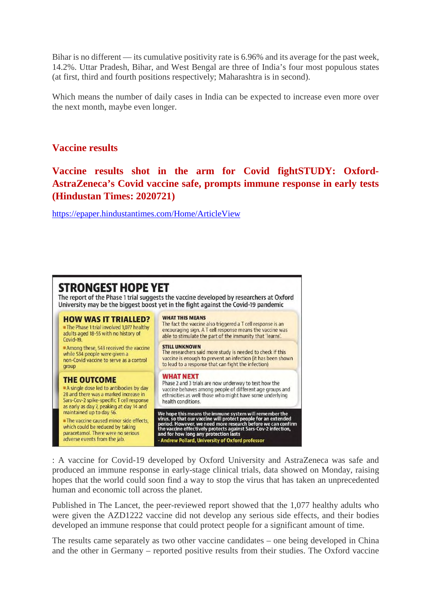Bihar is no different — its cumulative positivity rate is 6.96% and its average for the past week, 14.2%. Uttar Pradesh, Bihar, and West Bengal are three of India's four most populous states (at first, third and fourth positions respectively; Maharashtra is in second).

Which means the number of daily cases in India can be expected to increase even more over the next month, maybe even longer.

### **Vaccine results**

**Vaccine results shot in the arm for Covid fightSTUDY: Oxford-AstraZeneca's Covid vaccine safe, prompts immune response in early tests (Hindustan Times: 2020721)**

https://epaper.hindustantimes.com/Home/ArticleView

#### STRONGEST HOPE YET The report of the Phase 1 trial suggests the vaccine developed by researchers at Oxford University may be the biggest boost yet in the fight against the Covid-19 pandemic **WHAT THIS MEANS HOW WAS IT TRIALLED?** The fact the vaccine also triggered a T cell response is an The Phase 1 trial involved 1,077 healthy encouraging sign. A T cell response means the vaccine was adults aged 18-55 with no history of able to stimulate the part of the immunity that 'learns'. Covid-19 **STILL UNKNOWN** Among these, 543 received the vaccine The researchers said more study is needed to check if this while 534 people were given a vaccine is enough to prevent an infection (it has been shown non-Covid vaccine to serve as a control to lead to a response that can fight the infection) group **WHAT NEXT THE OUTCOME** Phase 2 and 3 trials are now underway to test how the A single dose led to antibodies by day vaccine behaves among people of different age groups and 28 and there was a marked increase in ethnicities as well those who might have some underlying Sars-Cov-2 spike-specific T cell response health conditions. as early as day 7, peaking at day 14 and We hope this means the immune system will remember the<br>virus, so that our vaccine will protect people for an extended<br>period. However, we need more research before we can confirm<br>the vaccine effectively protects against Sa maintained up to day 56. The vaccine caused minor side effects. which could be reduced by taking paracetamol. There were no serious adverse events from the jab.

: A vaccine for Covid-19 developed by Oxford University and AstraZeneca was safe and produced an immune response in early-stage clinical trials, data showed on Monday, raising hopes that the world could soon find a way to stop the virus that has taken an unprecedented human and economic toll across the planet.

Published in The Lancet, the peer-reviewed report showed that the 1,077 healthy adults who were given the AZD1222 vaccine did not develop any serious side effects, and their bodies developed an immune response that could protect people for a significant amount of time.

The results came separately as two other vaccine candidates – one being developed in China and the other in Germany – reported positive results from their studies. The Oxford vaccine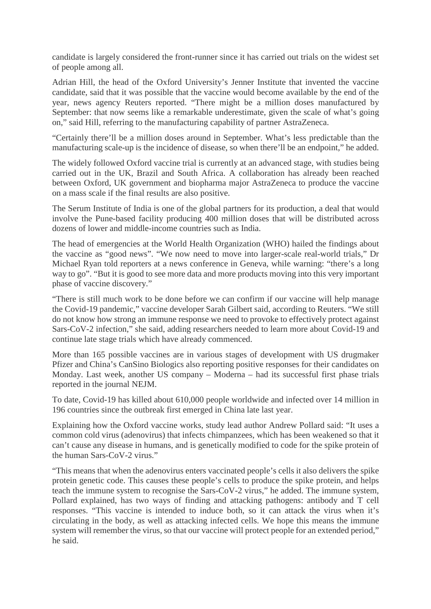candidate is largely considered the front-runner since it has carried out trials on the widest set of people among all.

Adrian Hill, the head of the Oxford University's Jenner Institute that invented the vaccine candidate, said that it was possible that the vaccine would become available by the end of the year, news agency Reuters reported. "There might be a million doses manufactured by September: that now seems like a remarkable underestimate, given the scale of what's going on," said Hill, referring to the manufacturing capability of partner AstraZeneca.

"Certainly there'll be a million doses around in September. What's less predictable than the manufacturing scale-up is the incidence of disease, so when there'll be an endpoint," he added.

The widely followed Oxford vaccine trial is currently at an advanced stage, with studies being carried out in the UK, Brazil and South Africa. A collaboration has already been reached between Oxford, UK government and biopharma major AstraZeneca to produce the vaccine on a mass scale if the final results are also positive.

The Serum Institute of India is one of the global partners for its production, a deal that would involve the Pune-based facility producing 400 million doses that will be distributed across dozens of lower and middle-income countries such as India.

The head of emergencies at the World Health Organization (WHO) hailed the findings about the vaccine as "good news". "We now need to move into larger-scale real-world trials," Dr Michael Ryan told reporters at a news conference in Geneva, while warning: "there's a long way to go". "But it is good to see more data and more products moving into this very important phase of vaccine discovery."

"There is still much work to be done before we can confirm if our vaccine will help manage the Covid-19 pandemic," vaccine developer Sarah Gilbert said, according to Reuters. "We still do not know how strong an immune response we need to provoke to effectively protect against Sars-CoV-2 infection," she said, adding researchers needed to learn more about Covid-19 and continue late stage trials which have already commenced.

More than 165 possible vaccines are in various stages of development with US drugmaker Pfizer and China's CanSino Biologics also reporting positive responses for their candidates on Monday. Last week, another US company – Moderna – had its successful first phase trials reported in the journal NEJM.

To date, Covid-19 has killed about 610,000 people worldwide and infected over 14 million in 196 countries since the outbreak first emerged in China late last year.

Explaining how the Oxford vaccine works, study lead author Andrew Pollard said: "It uses a common cold virus (adenovirus) that infects chimpanzees, which has been weakened so that it can't cause any disease in humans, and is genetically modified to code for the spike protein of the human Sars-CoV-2 virus."

"This means that when the adenovirus enters vaccinated people's cells it also delivers the spike protein genetic code. This causes these people's cells to produce the spike protein, and helps teach the immune system to recognise the Sars-CoV-2 virus," he added. The immune system, Pollard explained, has two ways of finding and attacking pathogens: antibody and T cell responses. "This vaccine is intended to induce both, so it can attack the virus when it's circulating in the body, as well as attacking infected cells. We hope this means the immune system will remember the virus, so that our vaccine will protect people for an extended period," he said.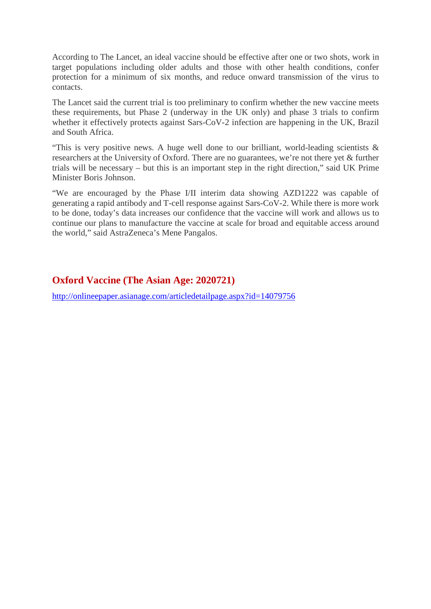According to The Lancet, an ideal vaccine should be effective after one or two shots, work in target populations including older adults and those with other health conditions, confer protection for a minimum of six months, and reduce onward transmission of the virus to contacts.

The Lancet said the current trial is too preliminary to confirm whether the new vaccine meets these requirements, but Phase 2 (underway in the UK only) and phase 3 trials to confirm whether it effectively protects against Sars-CoV-2 infection are happening in the UK, Brazil and South Africa.

"This is very positive news. A huge well done to our brilliant, world-leading scientists & researchers at the University of Oxford. There are no guarantees, we're not there yet & further trials will be necessary – but this is an important step in the right direction," said UK Prime Minister Boris Johnson.

"We are encouraged by the Phase I/II interim data showing AZD1222 was capable of generating a rapid antibody and T-cell response against Sars-CoV-2. While there is more work to be done, today's data increases our confidence that the vaccine will work and allows us to continue our plans to manufacture the vaccine at scale for broad and equitable access around the world," said AstraZeneca's Mene Pangalos.

# **Oxford Vaccine (The Asian Age: 2020721)**

http://onlineepaper.asianage.com/articledetailpage.aspx?id=14079756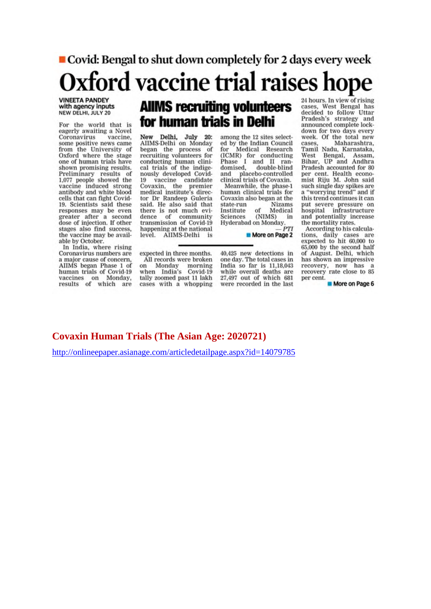#### ■ Covid: Bengal to shut down completely for 2 days every week Oxford vaccine trial raises hope 24 hours. In view of rising<br>cases, West Bengal has<br>decided to follow Uttar **VINEETA PANDEY AllMS recruiting volunteers** with agency inputs NEW DELHI, JULY 20 for human trials in Delhi

For the world that is eagerly awaiting a Novel Coronavirus vaccine. some positive news came from the University of Oxford where the stage one of human trials have shown promising results. Preliminary results of<br>1,077 people showed the vaccine induced strong antibody and white blood cells that can fight Covid-19. Scientists said these responses may be even greater after a second dose of injection. If other stages also find success. the vaccine may be available by October.

In India, where rising Coronavirus numbers are a major cause of concern. AIIMS began Phase 1 of human trials of Covid-19 vaccines on Monday, results of which are

#### New Delhi, July 20:<br>AIIMS-Delhi on Monday began the process of recruiting volunteers for conducting human clinical trials of the indigenously developed Covid-19 vaccine candidate<br>Covaxin, the premier medical institute's director Dr Randeep Guleria said. He also said that there is not much evidence of community transmission of Covid-19

among the 12 sites selected by the Indian Council  $forr$ Medical Research (ICMR) for conducting<br>Phase I and II randouble-blind domised. and placebo-controlled<br>clinical trials of Covaxin.

Meanwhile, the phase-1 human clinical trials for Covaxin also began at the state-run **Nizams**  $of$ Institute Medical Sciences (NIMS) in<br>Hyderabad on Monday. (NIMS)  $PTI$ 

More on Page 2

expected in three months. All records were broken on Monday morning<br>when India's Covid-19 tally zoomed past 11 lakh cases with a whopping

happening at the national

level. AIIMS-Delhi is

40,425 new detections in one day. The total cases in India so far is 11,18,043 while overall deaths are 27,497 out of which 681 were recorded in the last

Pradesh's strategy and<br>announced complete lockdown for two days every week. Of the total new cases Maharashtra. Tamil Nadu, Karnataka, West Bengal, Assam,<br>Bihar, UP and Andhra Pradesh accounted for 80 per cent. Health economist Riju M. John said such single day spikes are a "worrying trend" and if this trend continues it can put severe pressure on hospital infrastructure and potentially increase the mortality rates.

According to his calculations, daily cases are<br>expected to hit 60,000 to 65,000 by the second half of August. Delhi, which has shown an impressive recovery, now has a recovery rate close to 85 per cent.

More on Page 6

### **Covaxin Human Trials (The Asian Age: 2020721)**

http://onlineepaper.asianage.com/articledetailpage.aspx?id=14079785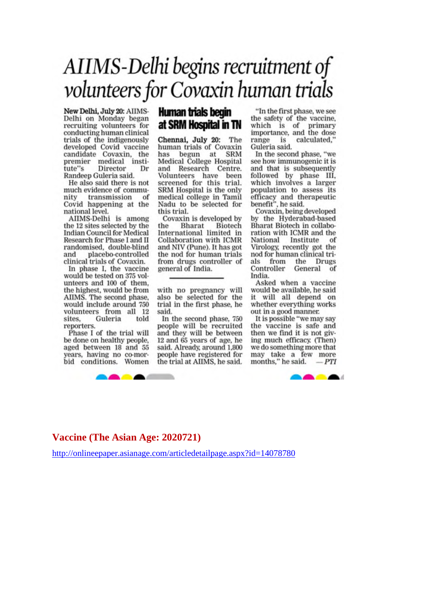# AIIMS-Delhi begins recruitment of volunteers for Covaxin human trials

New Delhi, July 20: AIIMS-Delhi on Monday began recruiting volunteers for conducting human clinical trials of the indigenously developed Covid vaccine candidate Covaxin, the<br>premier medical institute"s Director Dr Randeep Guleria said.

He also said there is not much evidence of community transmission of Covid happening at the national level.

AIIMS-Delhi is among the 12 sites selected by the **Indian Council for Medical** Research for Phase I and II randomised, double-blind placebo-controlled and clinical trials of Covaxin.

In phase I, the vaccine would be tested on 375 volunteers and 100 of them. the highest, would be from AIIMS. The second phase, would include around 750 volunteers from all 12 Guleria sites. told reporters.

Phase I of the trial will be done on healthy people, aged between 18 and 55 years, having no co-morbid conditions. Women



# Human trials begin at SRM Hospital in TN

Chennai, July 20: The human trials of Covaxin has begun at SRM Medical College Hospital and Research Centre. Volunteers have been screened for this trial. SRM Hospital is the only medical college in Tamil Nadu to be selected for this trial.

Covaxin is developed by Bharat Biotech the International limited in Collaboration with ICMR and NIV (Pune). It has got the nod for human trials from drugs controller of general of India.

with no pregnancy will also be selected for the trial in the first phase, he said.

In the second phase, 750 people will be recruited and they will be between 12 and 65 years of age, he said. Already, around 1,800 people have registered for the trial at AIIMS, he said.

"In the first phase, we see the safety of the vaccine, which is of primary<br>importance, and the dose is calculated." range Guleria said.

In the second phase, "we see how immunogenic it is and that is subsequently followed by phase III, which involves a larger population to assess its efficacy and therapeutic<br>benefit", he said.

Covaxin, being developed by the Hyderabad-based Bharat Biotech in collaboration with ICMR and the National Institute of Virology, recently got the nod for human clinical trials from the **Drugs** Controller General of India.

Asked when a vaccine would be available, he said it will all depend on whether everything works out in a good manner.

It is possible "we may say the vaccine is safe and then we find it is not giving much efficacy. (Then) we do something more that may take a few more months," he said.  $-PT$ 



## Vaccine (The Asian Age: 2020721)

http://onlineepaper.asianage.com/articledetailpage.aspx?id=14078780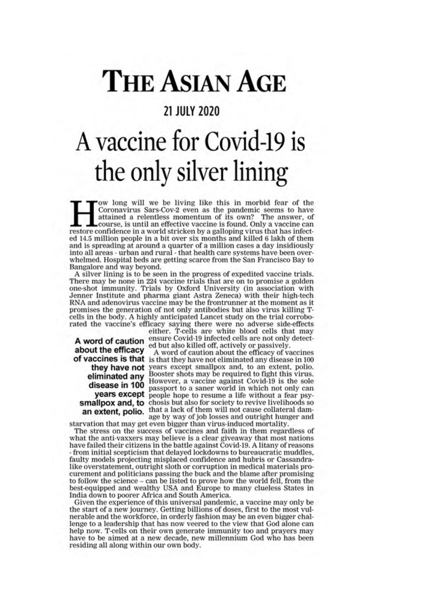# **THE ASIAN AGE**

# **21 JULY 2020**

# A vaccine for Covid-19 is the only silver lining

'ow long will we be living like this in morbid fear of the Coronavirus Sars-Cov-2 even as the pandemic seems to have<br>attained a relentless momentum of its own? The answer, of course, is until an effective vaccine is found. Only a vaccine can restore confidence in a world stricken by a galloping virus that has infected 14.5 million people in a bit over six months and killed 6 lakh of them and is spreading at around a quarter of a million cases a day insidiously into all areas - urban and rural - that health care systems have been overwhelmed. Hospital beds are getting scarce from the San Francisco Bay to Bangalore and way beyond.

A silver lining is to be seen in the progress of expedited vaccine trials. There may be none in 224 vaccine trials that are on to promise a golden one-shot immunity. Trials by Oxford University (in association with Jenner Institute and pharma giant Astra Zeneca) with their high-tech RNA and adenovirus vaccine may be the frontrunner at the moment as it promises the generation of not only antibodies but also virus killing Tcells in the body. A highly anticipated Lancet study on the trial corroborated the vaccine's efficacy saying there were no adverse side-effects

about the efficacy

either. T-cells are white blood cells that may A word of caution ensure Covid-19 infected cells are not only detect-<br>the officers ed but also killed off, actively or passively.

A word of caution about the efficacy of vaccines of vaccines is that is that they have not eliminated any disease in 100 they have not years except smallpox and, to an extent, polio. eliminated any Booster shots may be required to fight this virus.<br> **disease in 100** passnort to a senar world to fight 19 is the sole **isease in 100** passport to a saner world in which not only can<br>**years except** people hope to resume a life without a fear psysmallpox and, to chosis but also for society to revive livelihoods so an extent, polio. that a lack of them will not cause collateral damage by way of job losses and outright hunger and starvation that may get even bigger than virus-induced mortality.

The stress on the success of vaccines and faith in them regardless of what the anti-vaxxers may believe is a clear give away that most nations have failed their citizens in the battle against Covid-19. A litany of reasons - from initial scepticism that delayed lockdowns to bureaucratic muddles. faulty models projecting misplaced confidence and hubris or Cassandralike overstatement, outright sloth or corruption in medical materials procurement and politicians passing the buck and the blame after promising to follow the science – can be listed to prove how the world fell, from the best-equipped and wealthy USA and Europe to many clueless States in India down to poorer Africa and South America.

Given the experience of this universal pandemic, a vaccine may only be the start of a new journey. Getting billions of doses, first to the most vulnerable and the workforce, in orderly fashion may be an even bigger challenge to a leadership that has now veered to the view that God alone can help now. T-cells on their own generate immunity too and prayers may have to be aimed at a new decade, new millennium God who has been residing all along within our own body.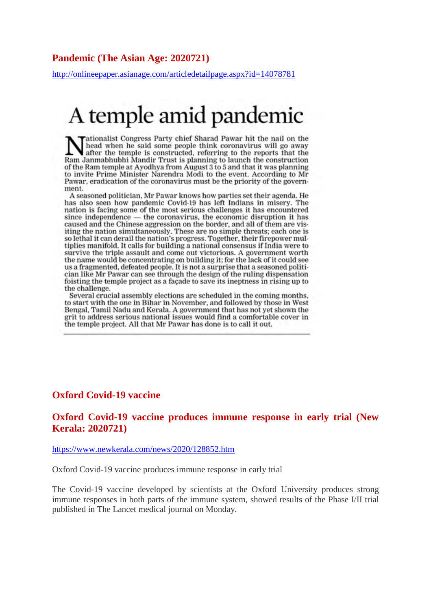#### **Pandemic (The Asian Age: 2020721)**

http://onlineepaper.asianage.com/articledetailpage.aspx?id=14078781

# A temple amid pandemic

ationalist Congress Party chief Sharad Pawar hit the nail on the head when he said some people think coronavirus will go away after the temple is constructed, referring to the reports that the Ram Janmabhubhi Mandir Trust is planning to launch the construction of the Ram temple at Ayodhya from August 3 to 5 and that it was planning to invite Prime Minister Narendra Modi to the event. According to Mr Pawar, eradication of the coronavirus must be the priority of the government.

A seasoned politician, Mr Pawar knows how parties set their agenda. He has also seen how pandemic Covid-19 has left Indians in misery. The nation is facing some of the most serious challenges it has encountered since independence - the coronavirus, the economic disruption it has caused and the Chinese aggression on the border, and all of them are visiting the nation simultaneously. These are no simple threats; each one is so lethal it can derail the nation's progress. Together, their firepower multiplies manifold. It calls for building a national consensus if India were to survive the triple assault and come out victorious. A government worth the name would be concentrating on building it: for the lack of it could see us a fragmented, defeated people. It is not a surprise that a seasoned politician like Mr Pawar can see through the design of the ruling dispensation foisting the temple project as a facade to save its ineptness in rising up to the challenge.

Several crucial assembly elections are scheduled in the coming months, to start with the one in Bihar in November, and followed by those in West Bengal, Tamil Nadu and Kerala. A government that has not yet shown the grit to address serious national issues would find a comfortable cover in the temple project. All that Mr Pawar has done is to call it out.

#### **Oxford Covid-19 vaccine**

### **Oxford Covid-19 vaccine produces immune response in early trial (New Kerala: 2020721)**

#### https://www.newkerala.com/news/2020/128852.htm

Oxford Covid-19 vaccine produces immune response in early trial

The Covid-19 vaccine developed by scientists at the Oxford University produces strong immune responses in both parts of the immune system, showed results of the Phase I/II trial published in The Lancet medical journal on Monday.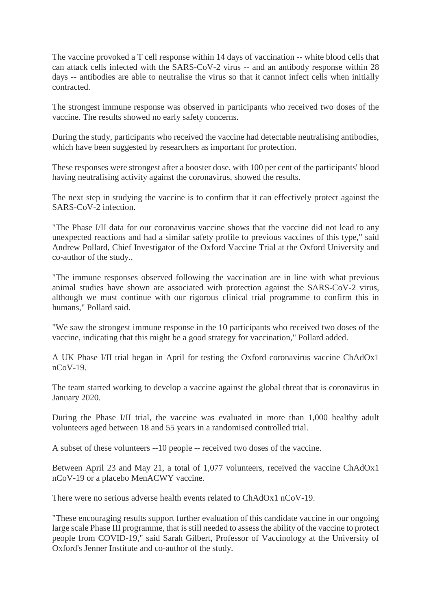The vaccine provoked a T cell response within 14 days of vaccination -- white blood cells that can attack cells infected with the SARS-CoV-2 virus -- and an antibody response within 28 days -- antibodies are able to neutralise the virus so that it cannot infect cells when initially contracted.

The strongest immune response was observed in participants who received two doses of the vaccine. The results showed no early safety concerns.

During the study, participants who received the vaccine had detectable neutralising antibodies, which have been suggested by researchers as important for protection.

These responses were strongest after a booster dose, with 100 per cent of the participants' blood having neutralising activity against the coronavirus, showed the results.

The next step in studying the vaccine is to confirm that it can effectively protect against the SARS-CoV-2 infection.

"The Phase I/II data for our coronavirus vaccine shows that the vaccine did not lead to any unexpected reactions and had a similar safety profile to previous vaccines of this type," said Andrew Pollard, Chief Investigator of the Oxford Vaccine Trial at the Oxford University and co-author of the study..

"The immune responses observed following the vaccination are in line with what previous animal studies have shown are associated with protection against the SARS-CoV-2 virus, although we must continue with our rigorous clinical trial programme to confirm this in humans," Pollard said.

"We saw the strongest immune response in the 10 participants who received two doses of the vaccine, indicating that this might be a good strategy for vaccination," Pollard added.

A UK Phase I/II trial began in April for testing the Oxford coronavirus vaccine ChAdOx1 nCoV-19.

The team started working to develop a vaccine against the global threat that is coronavirus in January 2020.

During the Phase I/II trial, the vaccine was evaluated in more than 1,000 healthy adult volunteers aged between 18 and 55 years in a randomised controlled trial.

A subset of these volunteers --10 people -- received two doses of the vaccine.

Between April 23 and May 21, a total of 1,077 volunteers, received the vaccine ChAdOx1 nCoV-19 or a placebo MenACWY vaccine.

There were no serious adverse health events related to ChAdOx1 nCoV-19.

"These encouraging results support further evaluation of this candidate vaccine in our ongoing large scale Phase III programme, that is still needed to assess the ability of the vaccine to protect people from COVID-19," said Sarah Gilbert, Professor of Vaccinology at the University of Oxford's Jenner Institute and co-author of the study.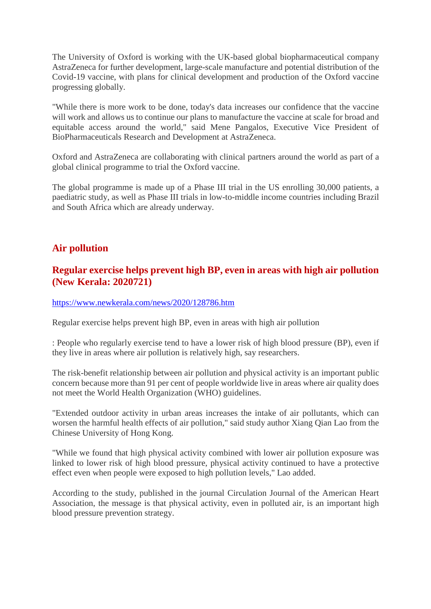The University of Oxford is working with the UK-based global biopharmaceutical company AstraZeneca for further development, large-scale manufacture and potential distribution of the Covid-19 vaccine, with plans for clinical development and production of the Oxford vaccine progressing globally.

"While there is more work to be done, today's data increases our confidence that the vaccine will work and allows us to continue our plans to manufacture the vaccine at scale for broad and equitable access around the world," said Mene Pangalos, Executive Vice President of BioPharmaceuticals Research and Development at AstraZeneca.

Oxford and AstraZeneca are collaborating with clinical partners around the world as part of a global clinical programme to trial the Oxford vaccine.

The global programme is made up of a Phase III trial in the US enrolling 30,000 patients, a paediatric study, as well as Phase III trials in low-to-middle income countries including Brazil and South Africa which are already underway.

# **Air pollution**

# **Regular exercise helps prevent high BP, even in areas with high air pollution (New Kerala: 2020721)**

#### https://www.newkerala.com/news/2020/128786.htm

Regular exercise helps prevent high BP, even in areas with high air pollution

: People who regularly exercise tend to have a lower risk of high blood pressure (BP), even if they live in areas where air pollution is relatively high, say researchers.

The risk-benefit relationship between air pollution and physical activity is an important public concern because more than 91 per cent of people worldwide live in areas where air quality does not meet the World Health Organization (WHO) guidelines.

"Extended outdoor activity in urban areas increases the intake of air pollutants, which can worsen the harmful health effects of air pollution," said study author Xiang Qian Lao from the Chinese University of Hong Kong.

"While we found that high physical activity combined with lower air pollution exposure was linked to lower risk of high blood pressure, physical activity continued to have a protective effect even when people were exposed to high pollution levels," Lao added.

According to the study, published in the journal Circulation Journal of the American Heart Association, the message is that physical activity, even in polluted air, is an important high blood pressure prevention strategy.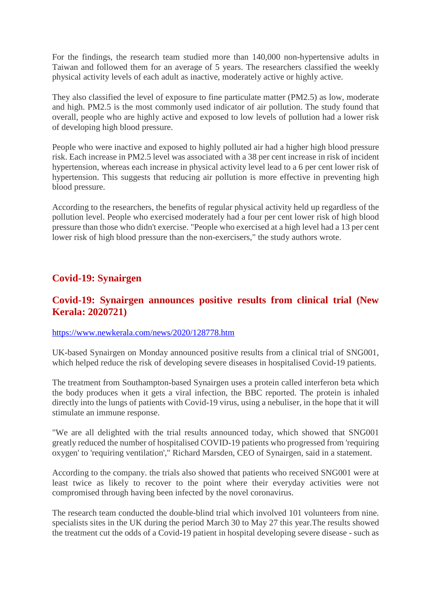For the findings, the research team studied more than 140,000 non-hypertensive adults in Taiwan and followed them for an average of 5 years. The researchers classified the weekly physical activity levels of each adult as inactive, moderately active or highly active.

They also classified the level of exposure to fine particulate matter (PM2.5) as low, moderate and high. PM2.5 is the most commonly used indicator of air pollution. The study found that overall, people who are highly active and exposed to low levels of pollution had a lower risk of developing high blood pressure.

People who were inactive and exposed to highly polluted air had a higher high blood pressure risk. Each increase in PM2.5 level was associated with a 38 per cent increase in risk of incident hypertension, whereas each increase in physical activity level lead to a 6 per cent lower risk of hypertension. This suggests that reducing air pollution is more effective in preventing high blood pressure.

According to the researchers, the benefits of regular physical activity held up regardless of the pollution level. People who exercised moderately had a four per cent lower risk of high blood pressure than those who didn't exercise. "People who exercised at a high level had a 13 per cent lower risk of high blood pressure than the non-exercisers," the study authors wrote.

# **Covid-19: Synairgen**

# **Covid-19: Synairgen announces positive results from clinical trial (New Kerala: 2020721)**

#### https://www.newkerala.com/news/2020/128778.htm

UK-based Synairgen on Monday announced positive results from a clinical trial of SNG001, which helped reduce the risk of developing severe diseases in hospitalised Covid-19 patients.

The treatment from Southampton-based Synairgen uses a protein called interferon beta which the body produces when it gets a viral infection, the BBC reported. The protein is inhaled directly into the lungs of patients with Covid-19 virus, using a nebuliser, in the hope that it will stimulate an immune response.

"We are all delighted with the trial results announced today, which showed that SNG001 greatly reduced the number of hospitalised COVID-19 patients who progressed from 'requiring oxygen' to 'requiring ventilation'," Richard Marsden, CEO of Synairgen, said in a statement.

According to the company. the trials also showed that patients who received SNG001 were at least twice as likely to recover to the point where their everyday activities were not compromised through having been infected by the novel coronavirus.

The research team conducted the double-blind trial which involved 101 volunteers from nine. specialists sites in the UK during the period March 30 to May 27 this year.The results showed the treatment cut the odds of a Covid-19 patient in hospital developing severe disease - such as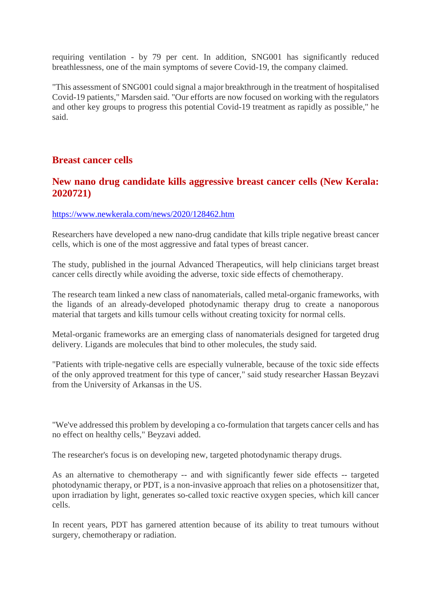requiring ventilation - by 79 per cent. In addition, SNG001 has significantly reduced breathlessness, one of the main symptoms of severe Covid-19, the company claimed.

"This assessment of SNG001 could signal a major breakthrough in the treatment of hospitalised Covid-19 patients," Marsden said. "Our efforts are now focused on working with the regulators and other key groups to progress this potential Covid-19 treatment as rapidly as possible," he said.

# **Breast cancer cells**

# **New nano drug candidate kills aggressive breast cancer cells (New Kerala: 2020721)**

#### https://www.newkerala.com/news/2020/128462.htm

Researchers have developed a new nano-drug candidate that kills triple negative breast cancer cells, which is one of the most aggressive and fatal types of breast cancer.

The study, published in the journal Advanced Therapeutics, will help clinicians target breast cancer cells directly while avoiding the adverse, toxic side effects of chemotherapy.

The research team linked a new class of nanomaterials, called metal-organic frameworks, with the ligands of an already-developed photodynamic therapy drug to create a nanoporous material that targets and kills tumour cells without creating toxicity for normal cells.

Metal-organic frameworks are an emerging class of nanomaterials designed for targeted drug delivery. Ligands are molecules that bind to other molecules, the study said.

"Patients with triple-negative cells are especially vulnerable, because of the toxic side effects of the only approved treatment for this type of cancer," said study researcher Hassan Beyzavi from the University of Arkansas in the US.

"We've addressed this problem by developing a co-formulation that targets cancer cells and has no effect on healthy cells," Beyzavi added.

The researcher's focus is on developing new, targeted photodynamic therapy drugs.

As an alternative to chemotherapy -- and with significantly fewer side effects -- targeted photodynamic therapy, or PDT, is a non-invasive approach that relies on a photosensitizer that, upon irradiation by light, generates so-called toxic reactive oxygen species, which kill cancer cells.

In recent years, PDT has garnered attention because of its ability to treat tumours without surgery, chemotherapy or radiation.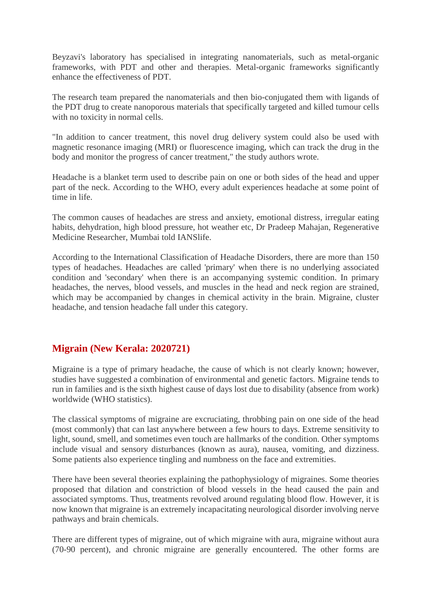Beyzavi's laboratory has specialised in integrating nanomaterials, such as metal-organic frameworks, with PDT and other and therapies. Metal-organic frameworks significantly enhance the effectiveness of PDT.

The research team prepared the nanomaterials and then bio-conjugated them with ligands of the PDT drug to create nanoporous materials that specifically targeted and killed tumour cells with no toxicity in normal cells.

"In addition to cancer treatment, this novel drug delivery system could also be used with magnetic resonance imaging (MRI) or fluorescence imaging, which can track the drug in the body and monitor the progress of cancer treatment," the study authors wrote.

Headache is a blanket term used to describe pain on one or both sides of the head and upper part of the neck. According to the WHO, every adult experiences headache at some point of time in life.

The common causes of headaches are stress and anxiety, emotional distress, irregular eating habits, dehydration, high blood pressure, hot weather etc, Dr Pradeep Mahajan, Regenerative Medicine Researcher, Mumbai told IANSlife.

According to the International Classification of Headache Disorders, there are more than 150 types of headaches. Headaches are called 'primary' when there is no underlying associated condition and 'secondary' when there is an accompanying systemic condition. In primary headaches, the nerves, blood vessels, and muscles in the head and neck region are strained, which may be accompanied by changes in chemical activity in the brain. Migraine, cluster headache, and tension headache fall under this category.

# **Migrain (New Kerala: 2020721)**

Migraine is a type of primary headache, the cause of which is not clearly known; however, studies have suggested a combination of environmental and genetic factors. Migraine tends to run in families and is the sixth highest cause of days lost due to disability (absence from work) worldwide (WHO statistics).

The classical symptoms of migraine are excruciating, throbbing pain on one side of the head (most commonly) that can last anywhere between a few hours to days. Extreme sensitivity to light, sound, smell, and sometimes even touch are hallmarks of the condition. Other symptoms include visual and sensory disturbances (known as aura), nausea, vomiting, and dizziness. Some patients also experience tingling and numbness on the face and extremities.

There have been several theories explaining the pathophysiology of migraines. Some theories proposed that dilation and constriction of blood vessels in the head caused the pain and associated symptoms. Thus, treatments revolved around regulating blood flow. However, it is now known that migraine is an extremely incapacitating neurological disorder involving nerve pathways and brain chemicals.

There are different types of migraine, out of which migraine with aura, migraine without aura (70-90 percent), and chronic migraine are generally encountered. The other forms are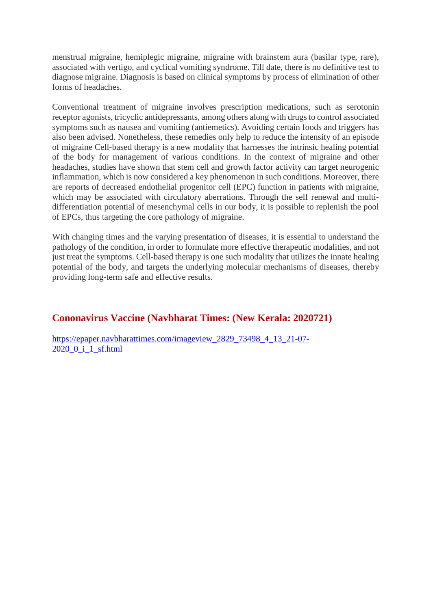menstrual migraine, hemiplegic migraine, migraine with brainstem aura (basilar type, rare), associated with vertigo, and cyclical vomiting syndrome. Till date, there is no definitive test to diagnose migraine. Diagnosis is based on clinical symptoms by process of elimination of other forms of headaches.

Conventional treatment of migraine involves prescription medications, such as serotonin receptor agonists, tricyclic antidepressants, among others along with drugs to control associated symptoms such as nausea and vomiting (antiemetics). Avoiding certain foods and triggers has also been advised. Nonetheless, these remedies only help to reduce the intensity of an episode of migraine Cell-based therapy is a new modality that harnesses the intrinsic healing potential of the body for management of various conditions. In the context of migraine and other headaches, studies have shown that stem cell and growth factor activity can target neurogenic inflammation, which is now considered a key phenomenon in such conditions. Moreover, there are reports of decreased endothelial progenitor cell (EPC) function in patients with migraine, which may be associated with circulatory aberrations. Through the self renewal and multidifferentiation potential of mesenchymal cells in our body, it is possible to replenish the pool of EPCs, thus targeting the core pathology of migraine.

With changing times and the varying presentation of diseases, it is essential to understand the pathology of the condition, in order to formulate more effective therapeutic modalities, and not just treat the symptoms. Cell-based therapy is one such modality that utilizes the innate healing potential of the body, and targets the underlying molecular mechanisms of diseases, thereby providing long-term safe and effective results.

# **Cononavirus Vaccine (Navbharat Times: (New Kerala: 2020721)**

https://epaper.navbharattimes.com/imageview\_2829\_73498\_4\_13\_21-07- 2020\_0\_i\_1\_sf.html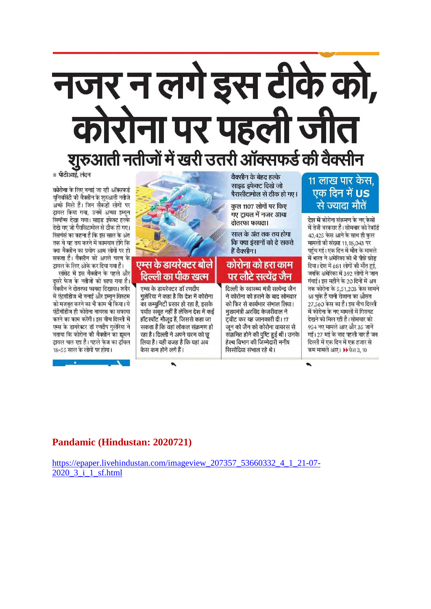# नजर न लगे इस टीके को, गेरोना पर पहली जीत शुरुआती नतीजों में खरी उतरी ऑक्सफर्ड की वैक्सीन

■ पीटीआई. लंदन

कोरोना के लिए वनाई जा रही ऑक्सफर्ड यूनिवर्सिटी की वैक्सीन के शुरुआती नतीजे अच्छे मिले हैं। जिन सैकडों लोगों पर ट्रायल किया गया, उनमें अच्छा इम्युन रिस्पॉन्स देखा गया। साइड इफेक्ट हल्के देखे गए जो पैरासिटामोल से ठीक हो गए। रिसर्चर्स का कहना है कि इस साल के अंत तक वे यह तय करने में कामयाव होंगे कि क्या वैक्सीन का प्रयोग आम लोगों पर हो सकता है। वैक्सीन को अगले चरण के टायल के लिए ओके कर दिया गया है।

लांसेट में इस वैक्सीन के पहले और दसरे फेज के नतीजों को छापा गया है। वैक्सीन ने दोतरफा फायदा दिखाया। शरीर में एंटवॉडीज भी वनाईं और इम्यन सिस्टम को मजबूत करने का भी काम भी किया। ये एंटीवॉडीज ही कोरोना वायरस का सफाया करने का काम करेंगी। इस वीच दिल्ली में एम्स के डायरेक्टर डॉ रणदीप गलेरिया ने वताया कि कोरोना की वैक्सीन का हामन ट्रायल चल रहा है। पहले फेज का ट्रॉयल 18-55 साल के लोगों पर होगा।



गुलेरिया ने कहा है कि देश में कोरोना का कम्युनिटी प्रसार हो रहा है, इसके पर्याप्त सबूत नहीं हैं लेकिन देश में कई हॉटस्पॉट मौजूद हैं, जिससे कहा जा सकता है कि वहां लोकल संक्रमण हो रहा है। दिल्ली ने अपने चरम को छू लिया है। यही वजह है कि यहां अब केस कम होने लगे हैं।

 $\bullet$ 

वैक्सीन के बेहद हल्के साइड इफेक्ट दिखे जो पैरासीटामोल से ठीक हो गए।

कुल 1107 लोगों पर किए गए टायल में नजर आया दोतरफा फायदा।

साल के अंत तक तय होगा कि क्या इंसानों को दे सकते हैं वैक्सीन।

# कोरोना को हरा काम पर लौटे सर्त्येद जैन

दिल्ली के स्वास्थ्य मंत्री सत्येन्द्र जैन ने कोरोना को हराने के बाद सोमवार को फिर से कार्यभार संभाल लिया। मख्यमंत्री अरविंद केजरीवाल ने टवीट कर यह जानकारी दी। 17 जून को जैन को कोरोना वायरस से संक्रमित होने की पुष्टि हुई थी। उनके हेल्थ विभाग की जिम्मेदारी मनीष सिसोदिया संभाल रहे थे।

# 11 लाख पार केस. एक दिन में **US** से ज्यादा मौतें

टेश में कोरोना संक्रमण के नए केसों में तेजी वरकरार है। सोमवार को रेकॉर्ड 40,425 केस आने के साथ ही कल मामलों की संख्या 11,18,043 पर पहुंच गई। एक दिन में मौत के मामले में भारत ने अमेरिका को भी पीछे छोड दिया। देश में 681 लोगों की मौत हुई, जवकि अमेरिका में 392 लोगों ने जान गंवाई। इस महीने के 20 दिनों में अव तक कोरोना के 5,51,203 केस सामने आ चुके हैं यानी रोजाना का औसत 27,560 केस का है। इस वीच दिल्ली में कोरोना के नए मामलों में गिरावट देखने को मिल रही है। सोमवार को 954 नए मामले आए और 35 जानें गईं। 27 मई के वाद पहली वार है जब दिल्ली में एक दिन में एक हजार से कम मामले आए। ▶ फेज 3, 10

 $\bullet$ 

# Pandamic (Hindustan: 2020721)

https://epaper.livehindustan.com/imageview 207357 53660332 4 1 21-07-2020 3 i 1 sf.html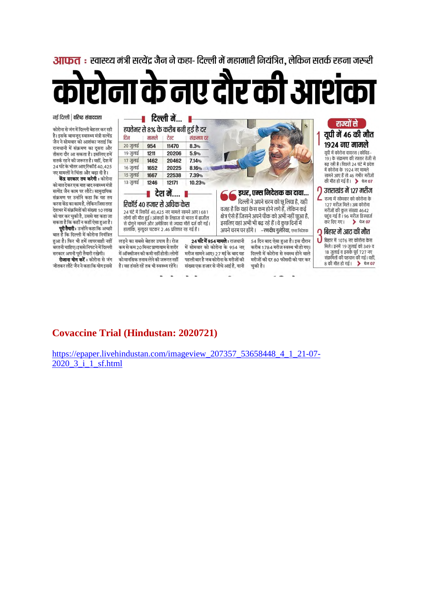<mark>आफत</mark> : स्वास्थ्य मंत्री सत्येंद्र जैन ने कहा- दिल्ली में महामारी नियंत्रित. लेकिन सतर्क रहना जरूरी

# रोना के नए दौर की आशंका

#### नई दिल्ली | वरिष्ठ संवाददाता

कोरोना से जंग में दिल्ली बेहतर कर रही है। इसके बावजूद स्वास्थ्य मंत्री सत्येंद्र जैन ने सोमवार को आशंका जताई कि राजधानी में संक्रमण का दसरा और तीसरा दौर आ सकता है। इसलिए हमें सतर्क रहने की जरूरत है। वहीं, देश में 24 घंटे के भीतर आएरिकॉर्ड 40,425 नए मामलों ने चिंता और बढा दी है।

केंद्र सरकार तय करेगी : कोरोना को मात देकर एक माह बाद स्वास्थ्य मंत्री सत्येंद्र जैन काम पर लौटे। सामुदायिक संक्रमण पर उन्होंने कहा कि यह तय करना केंद्र का काम है. लेकिन जिस तरह .<br>देशभर में संक्रमितों की संख्या 10 लाख को पार कर चकी है. उससे यह कहा जा सकता है कि कहीं न कहीं ऐसा हुआ है।

परी तैयारी: उन्होंने कहा कि अच्छी बात है कि दिल्ली में कोरोना नियंत्रित हुआ है। फिर भी हमें लापरवाही नहीं बरतनी चाहिए। इससे निपटने में दिल्ली सरकार अपनी पूरी तैयारी रखेगी।

रोजाना योग करें : कोरोना से जंग जीतकर लौटे जैन ने कहा कि योग इससे

| दिन                                                                                                             | मामले | हफ्तेभर से 8% के करीब बनी हुई है दर<br>टेस्ट | संकमण दर |                                                                                                        |
|-----------------------------------------------------------------------------------------------------------------|-------|----------------------------------------------|----------|--------------------------------------------------------------------------------------------------------|
| $20 \frac{1}{20}$ लाई                                                                                           | 954   | 11470                                        | 8.3%     |                                                                                                        |
| 19 जुलाई                                                                                                        | 1211  | 20206                                        | 5.9%     |                                                                                                        |
| $17 \text{ cm}$ ई                                                                                               | 1462  | 20462                                        | 7.14%    |                                                                                                        |
| 16 जुलाई                                                                                                        | 1652  | 20225                                        | 8.16%    |                                                                                                        |
| $15 \text{ m/s}$                                                                                                | 1667  | 22538                                        | 7.39%    |                                                                                                        |
| 13 जुलाई                                                                                                        | 1246  | 12171                                        | 10.23%   |                                                                                                        |
|                                                                                                                 |       | <mark>।</mark> देश में ।                     |          | इधर, एम्स निदेशक का दावा                                                                               |
|                                                                                                                 |       | रिकॉर्ड 40 हजार से अधिक केस                  |          | दिल्ली ने अपने चरम को छू लिया है, यही                                                                  |
| 24 घंटे में रिकॉर्ड 40,425 नए मामले सामने आए।681                                                                |       |                                              |          | वजह है कि यहां केस कम होने लगे हैं, लेकिन कई                                                           |
| लोगों की मौत हुई। आंकडों के लिहाज से भारत में ब्राजील<br>से दोगुने मामले और अमेरिका से ज्यादा मौतें दर्ज की गई। |       |                                              |          | क्षेत्र ऐसे हैं जिसने अपने पीक को अभी नहीं छुआ है,<br>इसलिए वहां अभी भी बढ़ रहे हैं । वे कुछ दिनों में |
|                                                                                                                 |       |                                              |          |                                                                                                        |

लड़ने का सबसे बेहतर उपाय है। रोज कम से कम 20 मिनट प्राणायाम से शरीर में सोमवार को कोरोना के 954 नए .<br>में ऑक्सीजन की कमी नहीं होती। लोगों मरीज सामने आए। 27 मई के बाद यह को मानसिक तनाव लेने की जरूरत नहीं है। वह हंसते रहें तब भी स्वस्थ्य रहेंगे। संख्या एक हजार से नीचे आई है, यानी

24 घंटे में 954 मामले : राजधानी पहली बार है जब कोरोना के मरीजों की

.<br>अभी नहीं छुआ है, वे कुछ दिनों में अपने चरम पर होंगे । –रणदीप गुलेरिया, एम्स निदेशक 54 दिन बाद ऐसा हुआ है। इस दौरान करीब 1784 मरीज स्वस्थ भी हो गए। दिल्ली में कोरोना से स्वस्थ होने वाले मरीजों की दर 80 फीसदी को पार कर

चुकी है।

१९२४ नए मामले यूपी में कोरोना वायरस (कोविड-.<br>19 ) के संक्रमण की रफ्तार तेजी से ंद<br>बढ़ रही है। पिछले 24 घंटे में प्रदेश<br>में कोरोना के 1924 नए मामले सामने आए हैं तो 46 गंभीर मरीजों की मौत हो गई है।  $\rightarrow$  पेज 07  $\bigcap$  उत्तराखंड में 127 मरीज  $\mathsf L$  राज्य में सोमवार को कोरोना के

राज्यों से

यूपी में 46 की मौत

127 मरीज़ मिले। अब कोरोना मरीजों की कुल संख्या 4642 पहुंच गई है। 96 मरीज डिस्चार्ज कर दिए गए।  $\rightarrow$  पेज 07

#### $\Omega$  बिहार में आट की मौत

υ बिहार में 1076 नए कोरोना केस मिले। इनमें 19 जुलाई को 349 व 18 जुलाई व इसके पूर्व 727 नए संक्रमितों की पहचान की गई। वहीं, 8 की मौत हो गई। > पेज 07

# **Covaccine Trial (Hindustan: 2020721)**

https://epaper.livehindustan.com/imageview 207357 53658448 4 1 21-07-2020 3 i 1 sf.html